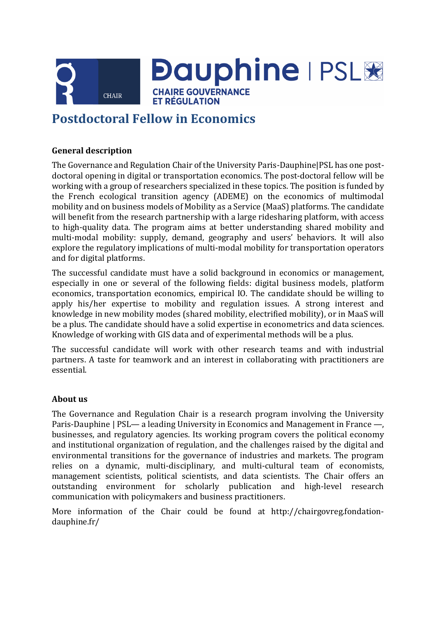

**Dauphine | PSL& CHAIRE GOUVERNANCE** 

**ET RÉGULATION** 

# **Postdoctoral Fellow in Economics**

## **General description**

The Governance and Regulation Chair of the University Paris-Dauphine|PSL has one postdoctoral opening in digital or transportation economics. The post-doctoral fellow will be working with a group of researchers specialized in these topics. The position is funded by the French ecological transition agency (ADEME) on the economics of multimodal mobility and on business models of Mobility as a Service (MaaS) platforms. The candidate will benefit from the research partnership with a large ridesharing platform, with access to high-quality data. The program aims at better understanding shared mobility and multi-modal mobility: supply, demand, geography and users' behaviors. It will also explore the regulatory implications of multi-modal mobility for transportation operators and for digital platforms.

The successful candidate must have a solid background in economics or management, especially in one or several of the following fields: digital business models, platform economics, transportation economics, empirical IO. The candidate should be willing to apply his/her expertise to mobility and regulation issues. A strong interest and knowledge in new mobility modes (shared mobility, electrified mobility), or in MaaS will be a plus. The candidate should have a solid expertise in econometrics and data sciences. Knowledge of working with GIS data and of experimental methods will be a plus.

The successful candidate will work with other research teams and with industrial partners. A taste for teamwork and an interest in collaborating with practitioners are essential.

## **About us**

The Governance and Regulation Chair is a research program involving the University Paris-Dauphine | PSL— a leading University in Economics and Management in France —, businesses, and regulatory agencies. Its working program covers the political economy and institutional organization of regulation, and the challenges raised by the digital and environmental transitions for the governance of industries and markets. The program relies on a dynamic, multi-disciplinary, and multi-cultural team of economists, management scientists, political scientists, and data scientists. The Chair offers an outstanding environment for scholarly publication and high-level research communication with policymakers and business practitioners.

More information of the Chair could be found at http://chairgovreg.fondationdauphine.fr/